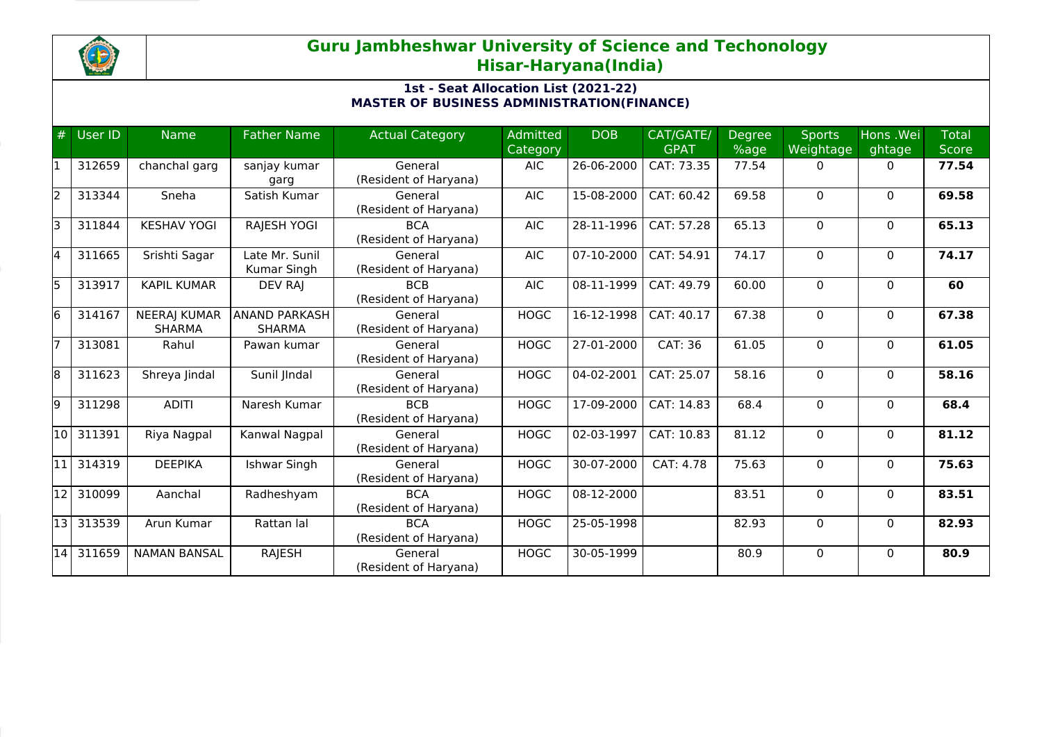

## **Guru Jambheshwar University of Science and Techonology Hisar-Haryana(India)**

## **1st - Seat Allocation List (2021-22) MASTER OF BUSINESS ADMINISTRATION(FINANCE)**

| #     | User ID | <b>Name</b>                          | <b>Father Name</b>                    | <b>Actual Category</b>              | <b>Admitted</b><br>Category | <b>DOB</b> | CAT/GATE/<br><b>GPAT</b> | <b>Degree</b><br>%age | <b>Sports</b><br>Weightage | Hons .Wei<br>ghtage | <b>Total</b><br><b>Score</b> |
|-------|---------|--------------------------------------|---------------------------------------|-------------------------------------|-----------------------------|------------|--------------------------|-----------------------|----------------------------|---------------------|------------------------------|
| I1    | 312659  | chanchal garg                        | sanjay kumar<br>garg                  | General<br>(Resident of Haryana)    | <b>AIC</b>                  | 26-06-2000 | CAT: 73.35               | 77.54                 | $\Omega$                   | $\mathbf{0}$        | 77.54                        |
| 2     | 313344  | Sneha                                | Satish Kumar                          | General<br>(Resident of Haryana)    | <b>AIC</b>                  | 15-08-2000 | CAT: 60.42               | 69.58                 | 0                          | $\mathbf{0}$        | 69.58                        |
| lз    | 311844  | <b>KESHAV YOGI</b>                   | RAJESH YOGI                           | <b>BCA</b><br>(Resident of Haryana) | <b>AIC</b>                  | 28-11-1996 | CAT: 57.28               | 65.13                 | 0                          | $\mathbf{0}$        | 65.13                        |
| l4    | 311665  | Srishti Sagar                        | Late Mr. Sunil<br>Kumar Singh         | General<br>(Resident of Haryana)    | <b>AIC</b>                  | 07-10-2000 | CAT: 54.91               | 74.17                 | 0                          | 0                   | 74.17                        |
| 5     | 313917  | <b>KAPIL KUMAR</b>                   | <b>DEV RAJ</b>                        | <b>BCB</b><br>(Resident of Haryana) | <b>AIC</b>                  | 08-11-1999 | CAT: 49.79               | 60.00                 | 0                          | $\mathbf 0$         | 60                           |
| 16    | 314167  | <b>NEERAJ KUMAR</b><br><b>SHARMA</b> | <b>ANAND PARKASH</b><br><b>SHARMA</b> | General<br>(Resident of Haryana)    | <b>HOGC</b>                 | 16-12-1998 | CAT: 40.17               | 67.38                 | 0                          | $\mathbf{0}$        | 67.38                        |
| 17    | 313081  | Rahul                                | Pawan kumar                           | General<br>(Resident of Haryana)    | <b>HOGC</b>                 | 27-01-2000 | CAT: 36                  | 61.05                 | $\Omega$                   | $\mathbf{0}$        | 61.05                        |
| 8     | 311623  | Shreya Jindal                        | Sunil JIndal                          | General<br>(Resident of Haryana)    | <b>HOGC</b>                 | 04-02-2001 | CAT: 25.07               | 58.16                 | $\Omega$                   | $\mathbf{0}$        | 58.16                        |
| 9     | 311298  | <b>ADITI</b>                         | Naresh Kumar                          | <b>BCB</b><br>(Resident of Haryana) | <b>HOGC</b>                 | 17-09-2000 | CAT: 14.83               | 68.4                  | $\Omega$                   | $\mathbf{0}$        | 68.4                         |
| 10    | 311391  | Riya Nagpal                          | Kanwal Nagpal                         | General<br>(Resident of Haryana)    | <b>HOGC</b>                 | 02-03-1997 | CAT: 10.83               | 81.12                 | 0                          | $\mathbf{0}$        | 81.12                        |
| 11    | 314319  | <b>DEEPIKA</b>                       | Ishwar Singh                          | General<br>(Resident of Haryana)    | <b>HOGC</b>                 | 30-07-2000 | CAT: 4.78                | 75.63                 | $\Omega$                   | $\mathbf{0}$        | 75.63                        |
| 12    | 310099  | Aanchal                              | Radheshyam                            | <b>BCA</b><br>(Resident of Haryana) | <b>HOGC</b>                 | 08-12-2000 |                          | 83.51                 | 0                          | $\mathbf{0}$        | 83.51                        |
| l13 l | 313539  | Arun Kumar                           | Rattan lal                            | <b>BCA</b><br>(Resident of Haryana) | <b>HOGC</b>                 | 25-05-1998 |                          | 82.93                 | $\Omega$                   | $\mathbf{0}$        | 82.93                        |
| l14 l | 311659  | <b>NAMAN BANSAL</b>                  | RAJESH                                | General<br>(Resident of Haryana)    | <b>HOGC</b>                 | 30-05-1999 |                          | 80.9                  | $\Omega$                   | $\Omega$            | 80.9                         |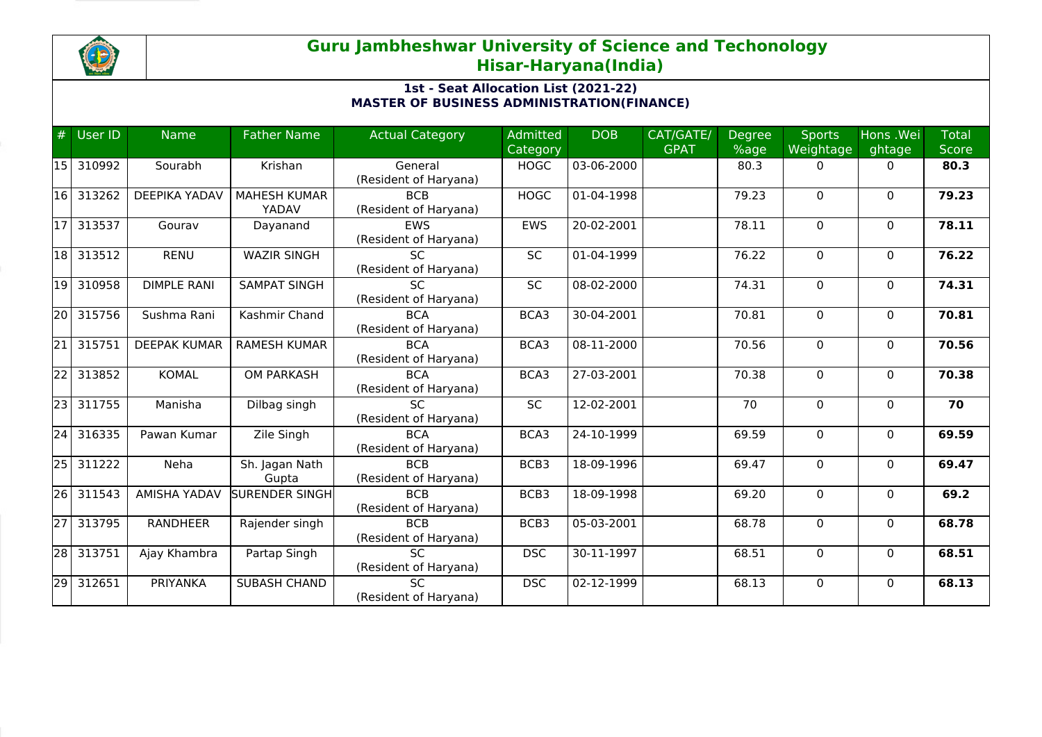

## **Guru Jambheshwar University of Science and Techonology Hisar-Haryana(India)**

## **1st - Seat Allocation List (2021-22) MASTER OF BUSINESS ADMINISTRATION(FINANCE)**

| #               | User ID | <b>Name</b>          | <b>Father Name</b>  | <b>Actual Category</b> | <b>Admitted</b> | <b>DOB</b> | CAT/GATE/   | <b>Degree</b> | <b>Sports</b> | Hons .Wei    | <b>Total</b> |
|-----------------|---------|----------------------|---------------------|------------------------|-----------------|------------|-------------|---------------|---------------|--------------|--------------|
|                 |         |                      |                     |                        | Category        |            | <b>GPAT</b> | %age          | Weightage     | ghtage       | <b>Score</b> |
| <b>15</b>       | 310992  | Sourabh              | Krishan             | General                | <b>HOGC</b>     | 03-06-2000 |             | 80.3          | 0             | 0            | 80.3         |
|                 |         |                      |                     | (Resident of Haryana)  |                 |            |             |               |               |              |              |
| 16              | 313262  | <b>DEEPIKA YADAV</b> | <b>MAHESH KUMAR</b> | <b>BCB</b>             | <b>HOGC</b>     | 01-04-1998 |             | 79.23         | $\mathbf 0$   | $\mathbf 0$  | 79.23        |
|                 |         |                      | YADAV               | (Resident of Haryana)  |                 |            |             |               |               |              |              |
| 17              | 313537  | Gourav               | Dayanand            | <b>EWS</b>             | <b>EWS</b>      | 20-02-2001 |             | 78.11         | $\Omega$      | $\mathbf{0}$ | 78.11        |
|                 |         |                      |                     | (Resident of Haryana)  |                 |            |             |               |               |              |              |
| 18              | 313512  | <b>RENU</b>          | <b>WAZIR SINGH</b>  | <b>SC</b>              | SC              | 01-04-1999 |             | 76.22         | 0             | 0            | 76.22        |
|                 |         |                      |                     | (Resident of Haryana)  |                 |            |             |               |               |              |              |
| 19              | 310958  | <b>DIMPLE RANI</b>   | <b>SAMPAT SINGH</b> | SC                     | <b>SC</b>       | 08-02-2000 |             | 74.31         | $\Omega$      | $\mathbf{0}$ | 74.31        |
|                 |         |                      |                     | (Resident of Haryana)  |                 |            |             |               |               |              |              |
| 20              | 315756  | Sushma Rani          | Kashmir Chand       | <b>BCA</b>             | BCA3            | 30-04-2001 |             | 70.81         | $\Omega$      | $\mathbf{0}$ | 70.81        |
|                 |         |                      |                     | (Resident of Haryana)  |                 |            |             |               |               |              |              |
| $\overline{21}$ | 315751  | <b>DEEPAK KUMAR</b>  | <b>RAMESH KUMAR</b> | <b>BCA</b>             | BCA3            | 08-11-2000 |             | 70.56         | $\mathbf 0$   | $\mathbf{0}$ | 70.56        |
|                 |         |                      |                     | (Resident of Haryana)  |                 |            |             |               |               |              |              |
| 22              | 313852  | <b>KOMAL</b>         | <b>OM PARKASH</b>   | <b>BCA</b>             | BCA3            | 27-03-2001 |             | 70.38         | $\Omega$      | $\Omega$     | 70.38        |
|                 |         |                      |                     | (Resident of Haryana)  |                 |            |             |               |               |              |              |
| $\overline{23}$ | 311755  | Manisha              | Dilbag singh        | <b>SC</b>              | SC              | 12-02-2001 |             | 70            | 0             | $\mathbf{0}$ | 70           |
|                 |         |                      |                     | (Resident of Haryana)  |                 |            |             |               |               |              |              |
| 24              | 316335  | Pawan Kumar          | Zile Singh          | <b>BCA</b>             | BCA3            | 24-10-1999 |             | 69.59         | 0             | 0            | 69.59        |
|                 |         |                      |                     | (Resident of Haryana)  |                 |            |             |               |               |              |              |
| 25              | 311222  | Neha                 | Sh. Jagan Nath      | <b>BCB</b>             | BCB3            | 18-09-1996 |             | 69.47         | $\Omega$      | $\mathbf{0}$ | 69.47        |
|                 |         |                      | Gupta               | (Resident of Haryana)  |                 |            |             |               |               |              |              |
| 26              | 311543  | AMISHA YADAV         | SURENDER SINGH      | <b>BCB</b>             | BCB3            | 18-09-1998 |             | 69.20         | $\mathbf 0$   | $\mathbf{0}$ | 69.2         |
|                 |         |                      |                     | (Resident of Haryana)  |                 |            |             |               |               |              |              |
| $\overline{27}$ | 313795  | <b>RANDHEER</b>      | Rajender singh      | <b>BCB</b>             | BCB3            | 05-03-2001 |             | 68.78         | $\mathbf 0$   | $\mathbf{0}$ | 68.78        |
|                 |         |                      |                     | (Resident of Haryana)  |                 |            |             |               |               |              |              |
| 28              | 313751  | Ajay Khambra         | Partap Singh        | $\overline{SC}$        | <b>DSC</b>      | 30-11-1997 |             | 68.51         | $\Omega$      | $\Omega$     | 68.51        |
|                 |         |                      |                     | (Resident of Haryana)  |                 |            |             |               |               |              |              |
| 29              | 312651  | PRIYANKA             | <b>SUBASH CHAND</b> | SC                     | <b>DSC</b>      | 02-12-1999 |             | 68.13         | 0             | $\mathbf{0}$ | 68.13        |
|                 |         |                      |                     | (Resident of Haryana)  |                 |            |             |               |               |              |              |